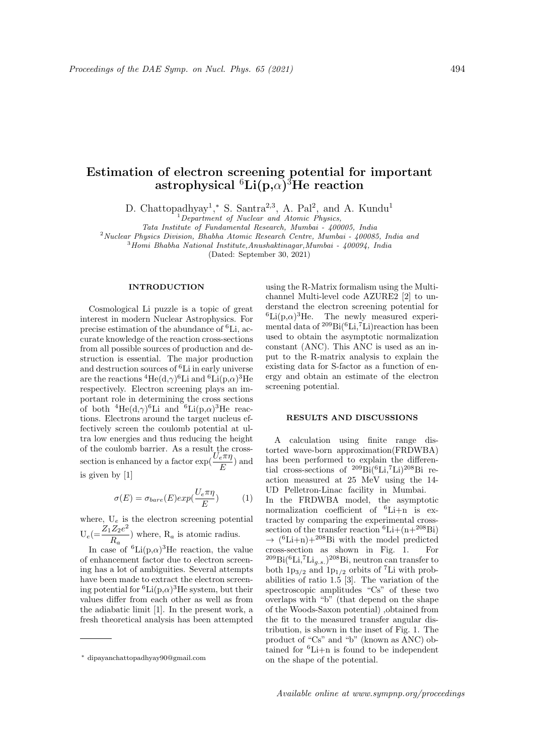## Estimation of electron screening potential for important astrophysical  ${}^{6}\text{Li}(p,\alpha){}^{3}\text{He}$  reaction

D. Chattopadhyay<sup>1</sup>,\* S. Santra<sup>2,3</sup>, A. Pal<sup>2</sup>, and A. Kundu<sup>1</sup>

<sup>1</sup>Department of Nuclear and Atomic Physics,

Tata Institute of Fundamental Research, Mumbai - 400005, India

<sup>2</sup>Nuclear Physics Division, Bhabha Atomic Research Centre, Mumbai - 400085, India and

 $3$ Homi Bhabha National Institute, Anushaktinagar, Mumbai - 400094, India

(Dated: September 30, 2021)

## INTRODUCTION

Cosmological Li puzzle is a topic of great interest in modern Nuclear Astrophysics. For precise estimation of the abundance of <sup>6</sup>Li, accurate knowledge of the reaction cross-sections from all possible sources of production and destruction is essential. The major production and destruction sources of <sup>6</sup>Li in early universe are the reactions  ${}^{4}$ He(d, $\gamma$ )<sup>6</sup>Li and  ${}^{6}$ Li(p, $\alpha$ )<sup>3</sup>He respectively. Electron screening plays an important role in determining the cross sections of both  ${}^{4}He(d,\gamma){}^{6}Li$  and  ${}^{6}Li(p,\alpha){}^{3}He$  reactions. Electrons around the target nucleus effectively screen the coulomb potential at ultra low energies and thus reducing the height of the coulomb barrier. As a result the crosssection is enhanced by a factor  $\exp(\frac{U_e \pi \eta}{E})$  and is given by [1]

$$
\sigma(E) = \sigma_{bare}(E) exp(\frac{U_e \pi \eta}{E})
$$
 (1)

where,  $U_e$  is the electron screening potential  $U_e = \frac{Z_1 Z_2 e^2}{R}$  $\frac{Z_2}{R_a}$ ) where,  $R_a$  is atomic radius.

In case of  ${}^{6}$ Li(p, $\alpha$ )<sup>3</sup>He reaction, the value of enhancement factor due to electron screening has a lot of ambiguities. Several attempts have been made to extract the electron screening potential for  ${}^6\text{Li}(p,\alpha){}^3\text{He}$  system, but their values differ from each other as well as from the adiabatic limit [1]. In the present work, a fresh theoretical analysis has been attempted using the R-Matrix formalism using the Multichannel Multi-level code AZURE2 [2] to understand the electron screening potential for  ${}^{6}$ Li(p, $\alpha$ )<sup>3</sup>He. The newly measured experimental data of  ${}^{209}$ Bi( ${}^{6}$ Li,<sup>7</sup>Li)reaction has been used to obtain the asymptotic normalization constant (ANC). This ANC is used as an input to the R-matrix analysis to explain the existing data for S-factor as a function of energy and obtain an estimate of the electron screening potential.

## RESULTS AND DISCUSSIONS

A calculation using finite range distorted wave-born approximation(FRDWBA) has been performed to explain the differential cross-sections of  $^{209}$ Bi( $^{6}$ Li, $^{7}$ Li) $^{208}$ Bi reaction measured at 25 MeV using the 14- UD Pelletron-Linac facility in Mumbai. In the FRDWBA model, the asymptotic normalization coefficient of  ${}^{6}$ Li+n is extracted by comparing the experimental crosssection of the transfer reaction  ${}^6\text{Li}+(n+{}^{208}\text{Bi})$  $\rightarrow$  (<sup>6</sup>Li+n)+<sup>208</sup>Bi with the model predicted cross-section as shown in Fig. 1. For  $^{209}\text{Bi}({}^{6}\text{Li},{}^{7}\text{Li}_{g.s.})^{208}\text{Bi}$ , neutron can transfer to both  $1p_{3/2}$  and  $1p_{1/2}$  orbits of <sup>7</sup>Li with prob-

abilities of ratio 1.5 [3]. The variation of the spectroscopic amplitudes "Cs" of these two overlaps with "b" (that depend on the shape of the Woods-Saxon potential) ,obtained from the fit to the measured transfer angular distribution, is shown in the inset of Fig. 1. The product of "Cs" and "b" (known as ANC) obtained for  ${}^{6}$ Li+n is found to be independent on the shape of the potential.

<sup>∗</sup> dipayanchattopadhyay90@gmail.com